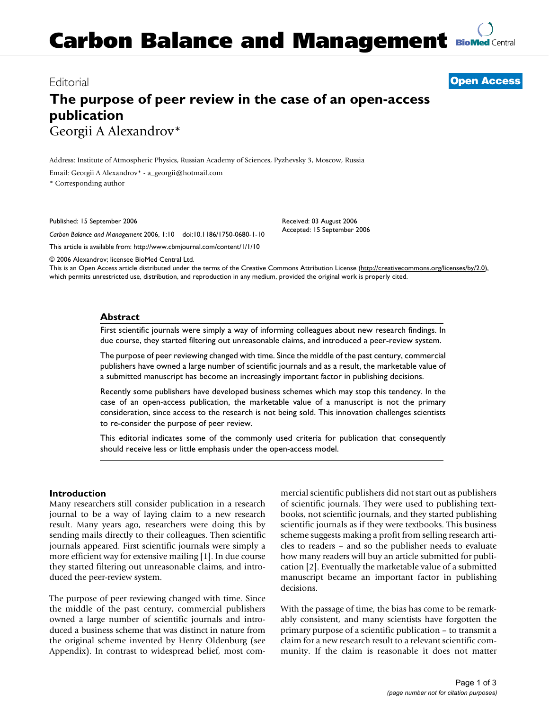# **Carbon Balance and Management [BioMed](http://www.biomedcentral.com/) Central**

### Editorial **[Open Access](http://www.biomedcentral.com/info/about/charter/)**

## **The purpose of peer review in the case of an open-access publication** Georgii A Alexandrov\*

Address: Institute of Atmospheric Physics, Russian Academy of Sciences, Pyzhevsky 3, Moscow, Russia

Email: Georgii A Alexandrov\* - a\_georgii@hotmail.com \* Corresponding author

Published: 15 September 2006

*Carbon Balance and Management* 2006, **1**:10 doi:10.1186/1750-0680-1-10 [This article is available from: http://www.cbmjournal.com/content/1/1/10](http://www.cbmjournal.com/content/1/1/10)

Received: 03 August 2006 Accepted: 15 September 2006

This is an Open Access article distributed under the terms of the Creative Commons Attribution License [\(http://creativecommons.org/licenses/by/2.0\)](http://creativecommons.org/licenses/by/2.0), which permits unrestricted use, distribution, and reproduction in any medium, provided the original work is properly cited.

#### **Abstract**

© 2006 Alexandrov; licensee BioMed Central Ltd.

First scientific journals were simply a way of informing colleagues about new research findings. In due course, they started filtering out unreasonable claims, and introduced a peer-review system.

The purpose of peer reviewing changed with time. Since the middle of the past century, commercial publishers have owned a large number of scientific journals and as a result, the marketable value of a submitted manuscript has become an increasingly important factor in publishing decisions.

Recently some publishers have developed business schemes which may stop this tendency. In the case of an open-access publication, the marketable value of a manuscript is not the primary consideration, since access to the research is not being sold. This innovation challenges scientists to re-consider the purpose of peer review.

This editorial indicates some of the commonly used criteria for publication that consequently should receive less or little emphasis under the open-access model.

#### **Introduction**

Many researchers still consider publication in a research journal to be a way of laying claim to a new research result. Many years ago, researchers were doing this by sending mails directly to their colleagues. Then scientific journals appeared. First scientific journals were simply a more efficient way for extensive mailing [1]. In due course they started filtering out unreasonable claims, and introduced the peer-review system.

The purpose of peer reviewing changed with time. Since the middle of the past century, commercial publishers owned a large number of scientific journals and introduced a business scheme that was distinct in nature from the original scheme invented by Henry Oldenburg (see Appendix). In contrast to widespread belief, most commercial scientific publishers did not start out as publishers of scientific journals. They were used to publishing textbooks, not scientific journals, and they started publishing scientific journals as if they were textbooks. This business scheme suggests making a profit from selling research articles to readers – and so the publisher needs to evaluate how many readers will buy an article submitted for publication [2]. Eventually the marketable value of a submitted manuscript became an important factor in publishing decisions.

With the passage of time, the bias has come to be remarkably consistent, and many scientists have forgotten the primary purpose of a scientific publication – to transmit a claim for a new research result to a relevant scientific community. If the claim is reasonable it does not matter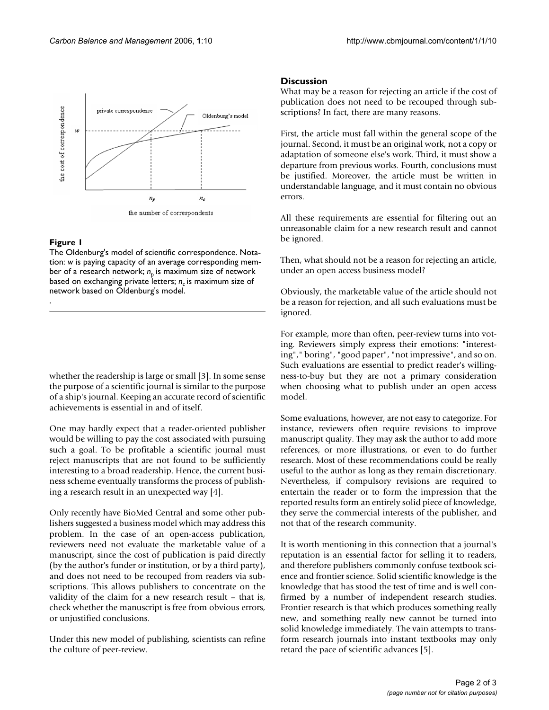

#### Figure 1

.

The Oldenburg's model of scientific correspondence. Notation: *w* is paying capacity of an average corresponding member of a research network;  $n<sub>p</sub>$  is maximum size of network based on exchanging private letters; *n<sub>c</sub>* is maximum size of network based on Oldenburg's model.

whether the readership is large or small [3]. In some sense the purpose of a scientific journal is similar to the purpose of a ship's journal. Keeping an accurate record of scientific achievements is essential in and of itself.

One may hardly expect that a reader-oriented publisher would be willing to pay the cost associated with pursuing such a goal. To be profitable a scientific journal must reject manuscripts that are not found to be sufficiently interesting to a broad readership. Hence, the current business scheme eventually transforms the process of publishing a research result in an unexpected way [4].

Only recently have BioMed Central and some other publishers suggested a business model which may address this problem. In the case of an open-access publication, reviewers need not evaluate the marketable value of a manuscript, since the cost of publication is paid directly (by the author's funder or institution, or by a third party), and does not need to be recouped from readers via subscriptions. This allows publishers to concentrate on the validity of the claim for a new research result – that is, check whether the manuscript is free from obvious errors, or unjustified conclusions.

Under this new model of publishing, scientists can refine the culture of peer-review.

#### **Discussion**

What may be a reason for rejecting an article if the cost of publication does not need to be recouped through subscriptions? In fact, there are many reasons.

First, the article must fall within the general scope of the journal. Second, it must be an original work, not a copy or adaptation of someone else's work. Third, it must show a departure from previous works. Fourth, conclusions must be justified. Moreover, the article must be written in understandable language, and it must contain no obvious errors.

All these requirements are essential for filtering out an unreasonable claim for a new research result and cannot be ignored.

Then, what should not be a reason for rejecting an article, under an open access business model?

Obviously, the marketable value of the article should not be a reason for rejection, and all such evaluations must be ignored.

For example, more than often, peer-review turns into voting. Reviewers simply express their emotions: "interesting"," boring", "good paper", "not impressive", and so on. Such evaluations are essential to predict reader's willingness-to-buy but they are not a primary consideration when choosing what to publish under an open access model.

Some evaluations, however, are not easy to categorize. For instance, reviewers often require revisions to improve manuscript quality. They may ask the author to add more references, or more illustrations, or even to do further research. Most of these recommendations could be really useful to the author as long as they remain discretionary. Nevertheless, if compulsory revisions are required to entertain the reader or to form the impression that the reported results form an entirely solid piece of knowledge, they serve the commercial interests of the publisher, and not that of the research community.

It is worth mentioning in this connection that a journal's reputation is an essential factor for selling it to readers, and therefore publishers commonly confuse textbook science and frontier science. Solid scientific knowledge is the knowledge that has stood the test of time and is well confirmed by a number of independent research studies. Frontier research is that which produces something really new, and something really new cannot be turned into solid knowledge immediately. The vain attempts to transform research journals into instant textbooks may only retard the pace of scientific advances [5].